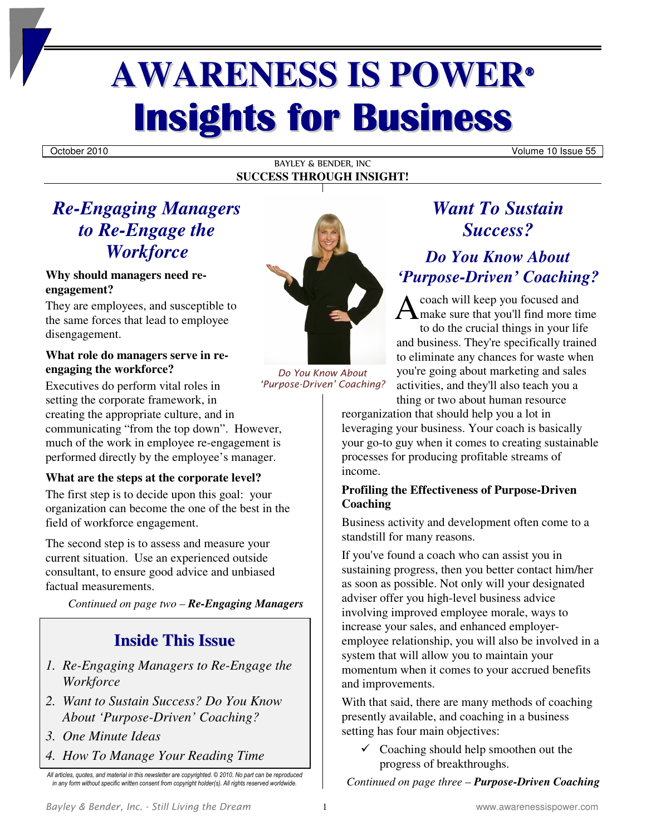# **AWARENESS IS POWER® Insights for Business**

October 2010 Volume 10 Issue 55

#### BAYLEY & BENDER, INC **SUCCESS THROUGH INSIGHT!**

# *Re-Engaging Managers to Re-Engage the Workforce*

#### **Why should managers need reengagement?**

They are employees, and susceptible to the same forces that lead to employee disengagement.

#### **What role do managers serve in reengaging the workforce?**

Executives do perform vital roles in setting the corporate framework, in creating the appropriate culture, and in communicating "from the top down". However, much of the work in employee re-engagement is performed directly by the employee's manager.

#### **What are the steps at the corporate level?**

The first step is to decide upon this goal: your organization can become the one of the best in the field of workforce engagement.

The second step is to assess and measure your current situation. Use an experienced outside consultant, to ensure good advice and unbiased factual measurements.

*Continued on page two – Re-Engaging Managers* 

### **Inside This Issue**

- *1. Re-Engaging Managers to Re-Engage the Workforce*
- *2. Want to Sustain Success? Do You Know About 'Purpose-Driven' Coaching?*
- *3. One Minute Ideas*
- *4. How To Manage Your Reading Time*



*Do You Know About 'Purpose-Driven' Coaching?*

# *Want To Sustain Success?*

### *Do You Know About 'Purpose-Driven' Coaching?*

coach will keep you focused and make sure that you'll find more time to do the crucial things in your life and business. They're specifically trained to eliminate any chances for waste when you're going about marketing and sales activities, and they'll also teach you a thing or two about human resource A

reorganization that should help you a lot in leveraging your business. Your coach is basically your go-to guy when it comes to creating sustainable processes for producing profitable streams of income.

#### **Profiling the Effectiveness of Purpose-Driven Coaching**

Business activity and development often come to a standstill for many reasons.

If you've found a coach who can assist you in sustaining progress, then you better contact him/her as soon as possible. Not only will your designated adviser offer you high-level business advice involving improved employee morale, ways to increase your sales, and enhanced employeremployee relationship, you will also be involved in a system that will allow you to maintain your momentum when it comes to your accrued benefits and improvements.

With that said, there are many methods of coaching presently available, and coaching in a business setting has four main objectives:

 $\checkmark$  Coaching should help smoothen out the progress of breakthroughs.

*Continued on page three – Purpose-Driven Coaching* 

*All articles, quotes, and material in this newsletter are copyrighted. © 2010. No part can be reproduced in any form without specific written consent from copyright holder(s). All rights reserved worldwide.*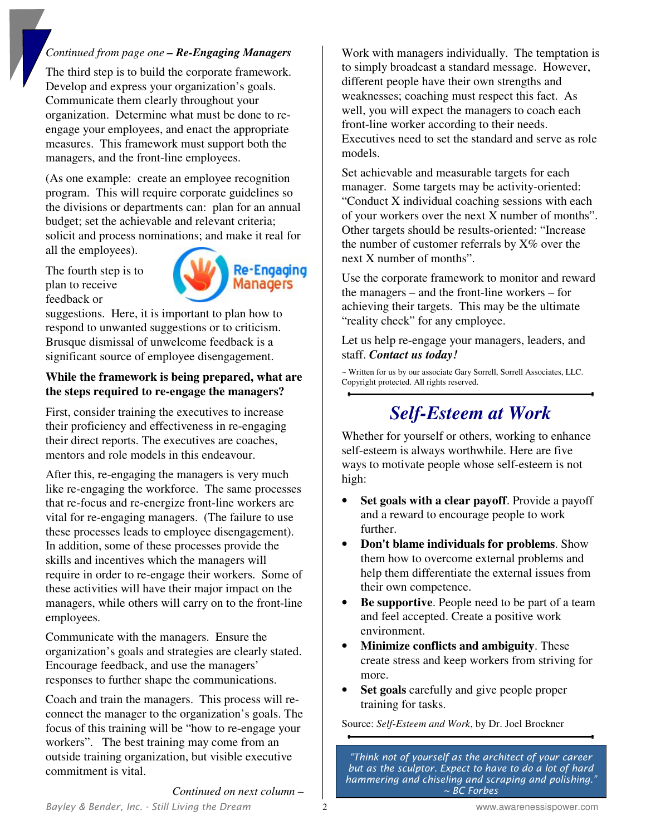#### *Continued from page one – Re-Engaging Managers*

The third step is to build the corporate framework. Develop and express your organization's goals. Communicate them clearly throughout your organization. Determine what must be done to reengage your employees, and enact the appropriate measures. This framework must support both the managers, and the front-line employees.

(As one example: create an employee recognition program. This will require corporate guidelines so the divisions or departments can: plan for an annual budget; set the achievable and relevant criteria; solicit and process nominations; and make it real for all the employees).

The fourth step is to plan to receive feedback or



suggestions. Here, it is important to plan how to respond to unwanted suggestions or to criticism. Brusque dismissal of unwelcome feedback is a significant source of employee disengagement.

#### **While the framework is being prepared, what are the steps required to re-engage the managers?**

First, consider training the executives to increase their proficiency and effectiveness in re-engaging their direct reports. The executives are coaches, mentors and role models in this endeavour.

After this, re-engaging the managers is very much like re-engaging the workforce. The same processes that re-focus and re-energize front-line workers are vital for re-engaging managers. (The failure to use these processes leads to employee disengagement). In addition, some of these processes provide the skills and incentives which the managers will require in order to re-engage their workers. Some of these activities will have their major impact on the managers, while others will carry on to the front-line employees.

Communicate with the managers. Ensure the organization's goals and strategies are clearly stated. Encourage feedback, and use the managers' responses to further shape the communications.

Coach and train the managers. This process will reconnect the manager to the organization's goals. The focus of this training will be "how to re-engage your workers". The best training may come from an outside training organization, but visible executive commitment is vital.

Work with managers individually. The temptation is to simply broadcast a standard message. However, different people have their own strengths and weaknesses; coaching must respect this fact. As well, you will expect the managers to coach each front-line worker according to their needs. Executives need to set the standard and serve as role models.

Set achievable and measurable targets for each manager. Some targets may be activity-oriented: "Conduct X individual coaching sessions with each of your workers over the next X number of months". Other targets should be results-oriented: "Increase the number of customer referrals by  $X\%$  over the next X number of months".

Use the corporate framework to monitor and reward the managers – and the front-line workers – for achieving their targets. This may be the ultimate "reality check" for any employee.

Let us help re-engage your managers, leaders, and staff. *Contact us today!* 

~ Written for us by our associate Gary Sorrell, Sorrell Associates, LLC. Copyright protected. All rights reserved.

# *Self-Esteem at Work*

Whether for yourself or others, working to enhance self-esteem is always worthwhile. Here are five ways to motivate people whose self-esteem is not high:

- **Set goals with a clear payoff**. Provide a payoff and a reward to encourage people to work further.
- **Don't blame individuals for problems**. Show them how to overcome external problems and help them differentiate the external issues from their own competence.
- Be supportive. People need to be part of a team and feel accepted. Create a positive work environment.
- **Minimize conflicts and ambiguity**. These create stress and keep workers from striving for more.
- **Set goals** carefully and give people proper training for tasks.

Source: *Self-Esteem and Work*, by Dr. Joel Brockner

*"Think not of yourself as the architect of your career but as the sculptor. Expect to have to do a lot of hard hammering and chiseling and scraping and polishing." ~ BC Forbes*

*Continued on next column –*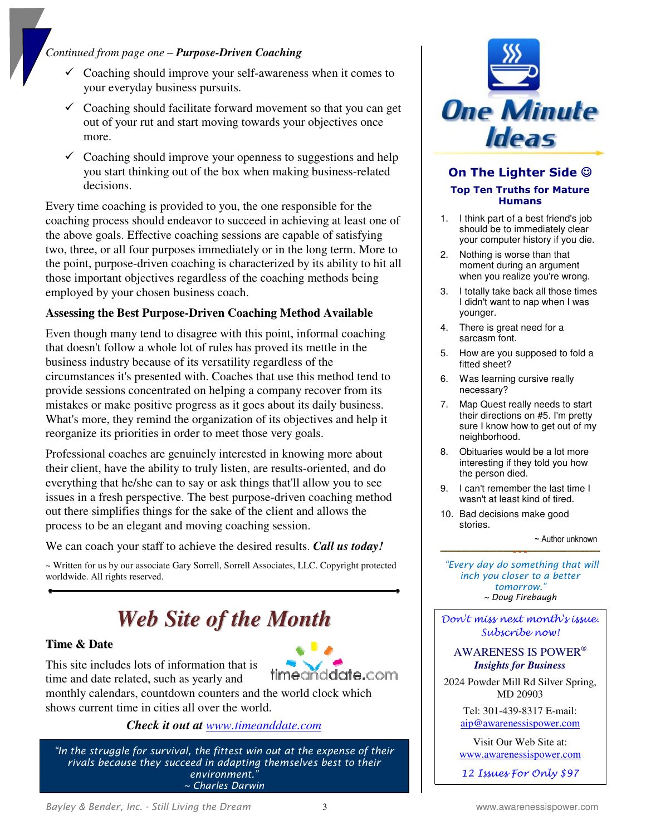#### *Continued from page one – Purpose-Driven Coaching*

- Coaching should improve your self-awareness when it comes to your everyday business pursuits.
- $\checkmark$  Coaching should facilitate forward movement so that you can get out of your rut and start moving towards your objectives once more.
- $\checkmark$  Coaching should improve your openness to suggestions and help you start thinking out of the box when making business-related decisions.

Every time coaching is provided to you, the one responsible for the coaching process should endeavor to succeed in achieving at least one of the above goals. Effective coaching sessions are capable of satisfying two, three, or all four purposes immediately or in the long term. More to the point, purpose-driven coaching is characterized by its ability to hit all those important objectives regardless of the coaching methods being employed by your chosen business coach.

#### **Assessing the Best Purpose-Driven Coaching Method Available**

Even though many tend to disagree with this point, informal coaching that doesn't follow a whole lot of rules has proved its mettle in the business industry because of its versatility regardless of the circumstances it's presented with. Coaches that use this method tend to provide sessions concentrated on helping a company recover from its mistakes or make positive progress as it goes about its daily business. What's more, they remind the organization of its objectives and help it reorganize its priorities in order to meet those very goals.

Professional coaches are genuinely interested in knowing more about their client, have the ability to truly listen, are results-oriented, and do everything that he/she can to say or ask things that'll allow you to see issues in a fresh perspective. The best purpose-driven coaching method out there simplifies things for the sake of the client and allows the process to be an elegant and moving coaching session.

We can coach your staff to achieve the desired results. *Call us today!* 

~ Written for us by our associate Gary Sorrell, Sorrell Associates, LLC. Copyright protected worldwide. All rights reserved.

# *Web Site of the Month*

#### **Time & Date**



This site includes lots of information that is time and date related, such as yearly and

timeañddate.com monthly calendars, countdown counters and the world clock which

shows current time in cities all over the world. *Check it out at www.timeanddate.com*

*"In the struggle for survival, the fittest win out at the expense of their rivals because they succeed in adapting themselves best to their environment." ~ Charles Darwin*



#### **On The Lighter Side** ☺ **Top Ten Truths for Mature Humans**

- 1. I think part of a best friend's job should be to immediately clear your computer history if you die.
- 2. Nothing is worse than that moment during an argument when you realize you're wrong.
- 3. I totally take back all those times I didn't want to nap when I was younger.
- 4. There is great need for a sarcasm font.
- 5. How are you supposed to fold a fitted sheet?
- 6. Was learning cursive really necessary?
- 7. Map Quest really needs to start their directions on #5. I'm pretty sure I know how to get out of my neighborhood.
- 8. Obituaries would be a lot more interesting if they told you how the person died.
- 9. I can't remember the last time I wasn't at least kind of tired.
- 10. Bad decisions make good stories.

~ Author unknown

 *"Every day do something that will inch you closer to a better tomorrow." ~ Doug Firebaugh*

Don't miss next month's issue. Subscribe now!

#### AWARENESS IS POWER® *Insights for Business*

2024 Powder Mill Rd Silver Spring, MD 20903

> Tel: 301-439-8317 E-mail: aip@awarenessispower.com

Visit Our Web Site at: www.awarenessispower.com

12 Issues For Only \$97